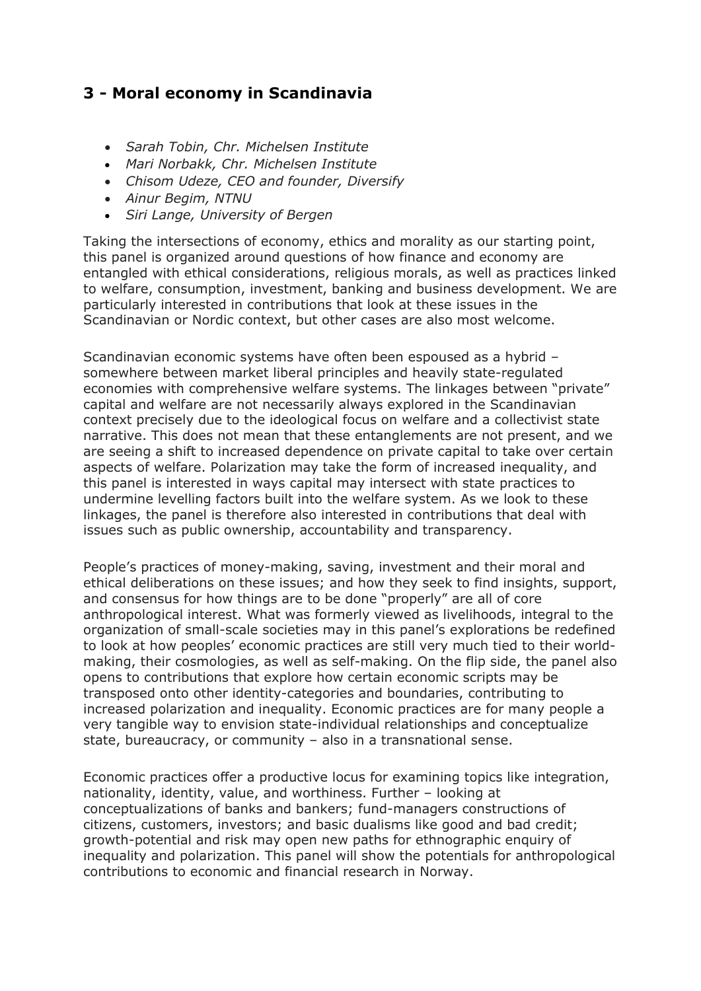# **3 - Moral economy in Scandinavia**

- *Sarah Tobin, Chr. Michelsen Institute*
- *Mari Norbakk, Chr. Michelsen Institute*
- *Chisom Udeze, CEO and founder, Diversify*
- *Ainur Begim, NTNU*
- *Siri Lange, University of Bergen*

Taking the intersections of economy, ethics and morality as our starting point, this panel is organized around questions of how finance and economy are entangled with ethical considerations, religious morals, as well as practices linked to welfare, consumption, investment, banking and business development. We are particularly interested in contributions that look at these issues in the Scandinavian or Nordic context, but other cases are also most welcome.

Scandinavian economic systems have often been espoused as a hybrid – somewhere between market liberal principles and heavily state-regulated economies with comprehensive welfare systems. The linkages between "private" capital and welfare are not necessarily always explored in the Scandinavian context precisely due to the ideological focus on welfare and a collectivist state narrative. This does not mean that these entanglements are not present, and we are seeing a shift to increased dependence on private capital to take over certain aspects of welfare. Polarization may take the form of increased inequality, and this panel is interested in ways capital may intersect with state practices to undermine levelling factors built into the welfare system. As we look to these linkages, the panel is therefore also interested in contributions that deal with issues such as public ownership, accountability and transparency.

People's practices of money-making, saving, investment and their moral and ethical deliberations on these issues; and how they seek to find insights, support, and consensus for how things are to be done "properly" are all of core anthropological interest. What was formerly viewed as livelihoods, integral to the organization of small-scale societies may in this panel's explorations be redefined to look at how peoples' economic practices are still very much tied to their worldmaking, their cosmologies, as well as self-making. On the flip side, the panel also opens to contributions that explore how certain economic scripts may be transposed onto other identity-categories and boundaries, contributing to increased polarization and inequality. Economic practices are for many people a very tangible way to envision state-individual relationships and conceptualize state, bureaucracy, or community – also in a transnational sense.

Economic practices offer a productive locus for examining topics like integration, nationality, identity, value, and worthiness. Further – looking at conceptualizations of banks and bankers; fund-managers constructions of citizens, customers, investors; and basic dualisms like good and bad credit; growth-potential and risk may open new paths for ethnographic enquiry of inequality and polarization. This panel will show the potentials for anthropological contributions to economic and financial research in Norway.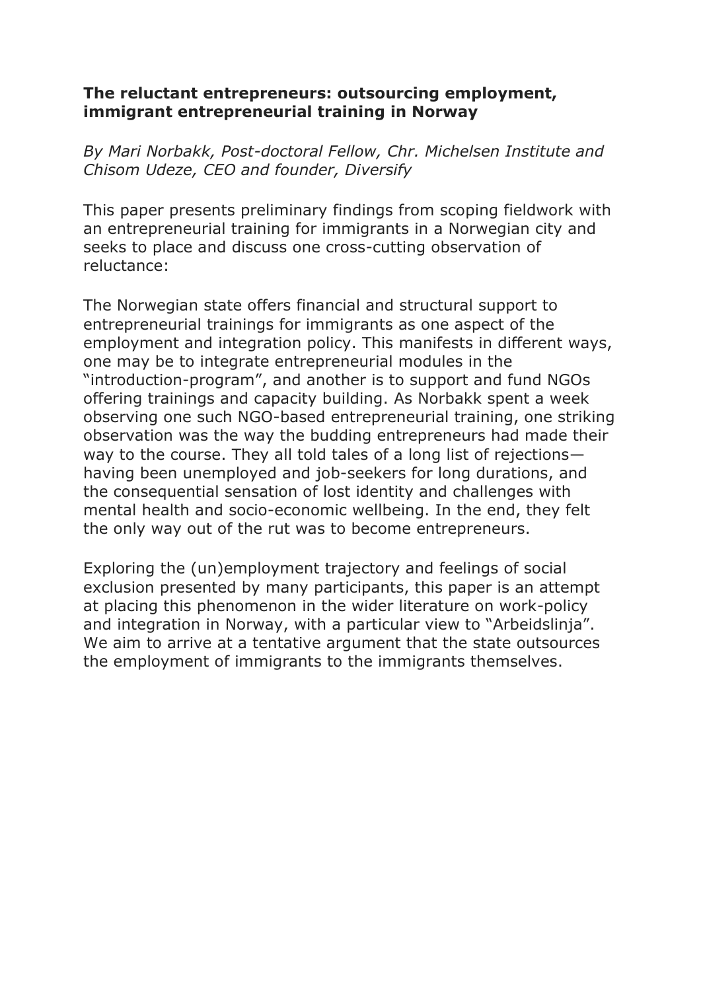### **The reluctant entrepreneurs: outsourcing employment, immigrant entrepreneurial training in Norway**

*By Mari Norbakk, Post-doctoral Fellow, Chr. Michelsen Institute and Chisom Udeze, CEO and founder, Diversify*

This paper presents preliminary findings from scoping fieldwork with an entrepreneurial training for immigrants in a Norwegian city and seeks to place and discuss one cross-cutting observation of reluctance:

The Norwegian state offers financial and structural support to entrepreneurial trainings for immigrants as one aspect of the employment and integration policy. This manifests in different ways, one may be to integrate entrepreneurial modules in the "introduction-program", and another is to support and fund NGOs offering trainings and capacity building. As Norbakk spent a week observing one such NGO-based entrepreneurial training, one striking observation was the way the budding entrepreneurs had made their way to the course. They all told tales of a long list of rejections having been unemployed and job-seekers for long durations, and the consequential sensation of lost identity and challenges with mental health and socio-economic wellbeing. In the end, they felt the only way out of the rut was to become entrepreneurs.

Exploring the (un)employment trajectory and feelings of social exclusion presented by many participants, this paper is an attempt at placing this phenomenon in the wider literature on work-policy and integration in Norway, with a particular view to "Arbeidslinja". We aim to arrive at a tentative argument that the state outsources the employment of immigrants to the immigrants themselves.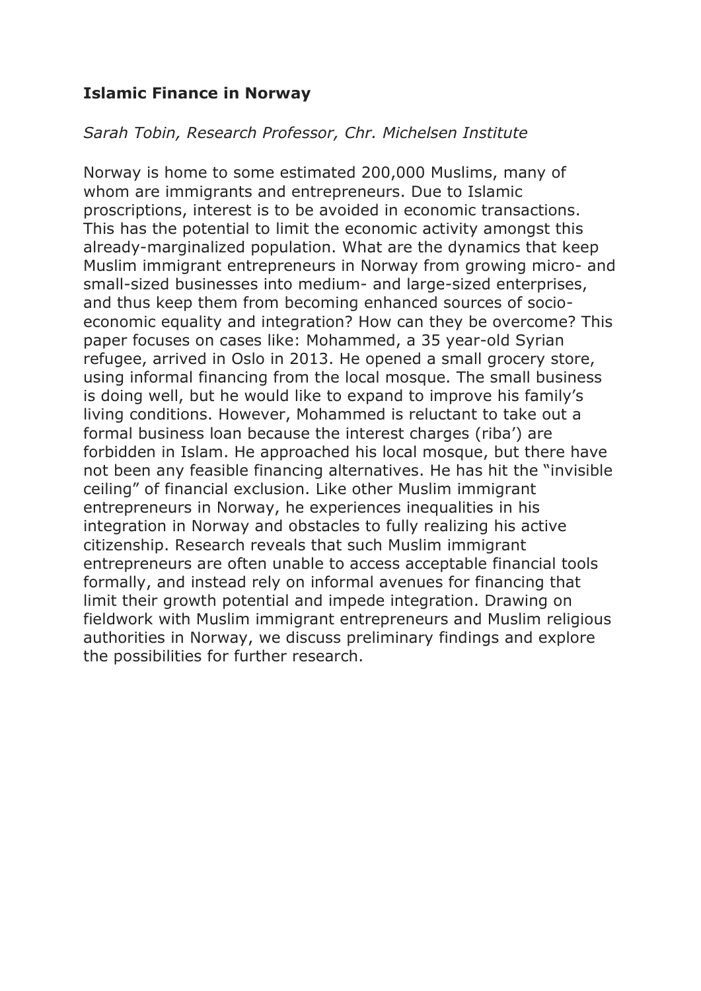# **Islamic Finance in Norway**

### *Sarah Tobin, Research Professor, Chr. Michelsen Institute*

Norway is home to some estimated 200,000 Muslims, many of whom are immigrants and entrepreneurs. Due to Islamic proscriptions, interest is to be avoided in economic transactions. This has the potential to limit the economic activity amongst this already-marginalized population. What are the dynamics that keep Muslim immigrant entrepreneurs in Norway from growing micro- and small-sized businesses into medium- and large-sized enterprises, and thus keep them from becoming enhanced sources of socioeconomic equality and integration? How can they be overcome? This paper focuses on cases like: Mohammed, a 35 year-old Syrian refugee, arrived in Oslo in 2013. He opened a small grocery store, using informal financing from the local mosque. The small business is doing well, but he would like to expand to improve his family's living conditions. However, Mohammed is reluctant to take out a formal business loan because the interest charges (riba') are forbidden in Islam. He approached his local mosque, but there have not been any feasible financing alternatives. He has hit the "invisible ceiling" of financial exclusion. Like other Muslim immigrant entrepreneurs in Norway, he experiences inequalities in his integration in Norway and obstacles to fully realizing his active citizenship. Research reveals that such Muslim immigrant entrepreneurs are often unable to access acceptable financial tools formally, and instead rely on informal avenues for financing that limit their growth potential and impede integration. Drawing on fieldwork with Muslim immigrant entrepreneurs and Muslim religious authorities in Norway, we discuss preliminary findings and explore the possibilities for further research.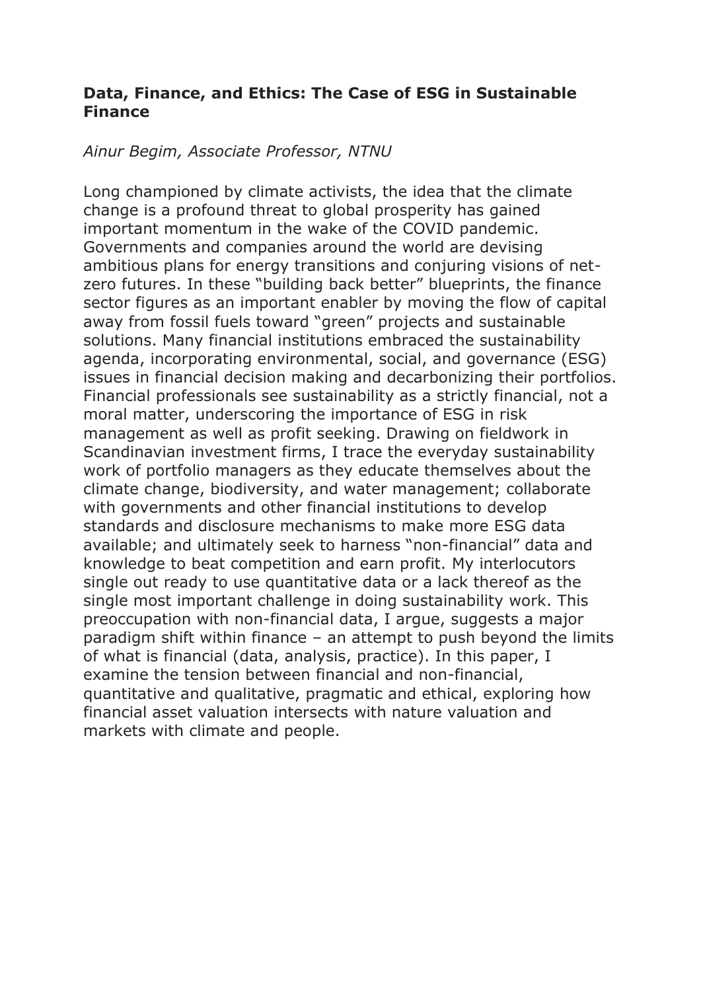### **Data, Finance, and Ethics: The Case of ESG in Sustainable Finance**

#### *Ainur Begim, Associate Professor, NTNU*

Long championed by climate activists, the idea that the climate change is a profound threat to global prosperity has gained important momentum in the wake of the COVID pandemic. Governments and companies around the world are devising ambitious plans for energy transitions and conjuring visions of netzero futures. In these "building back better" blueprints, the finance sector figures as an important enabler by moving the flow of capital away from fossil fuels toward "green" projects and sustainable solutions. Many financial institutions embraced the sustainability agenda, incorporating environmental, social, and governance (ESG) issues in financial decision making and decarbonizing their portfolios. Financial professionals see sustainability as a strictly financial, not a moral matter, underscoring the importance of ESG in risk management as well as profit seeking. Drawing on fieldwork in Scandinavian investment firms, I trace the everyday sustainability work of portfolio managers as they educate themselves about the climate change, biodiversity, and water management; collaborate with governments and other financial institutions to develop standards and disclosure mechanisms to make more ESG data available; and ultimately seek to harness "non-financial" data and knowledge to beat competition and earn profit. My interlocutors single out ready to use quantitative data or a lack thereof as the single most important challenge in doing sustainability work. This preoccupation with non-financial data, I argue, suggests a major paradigm shift within finance – an attempt to push beyond the limits of what is financial (data, analysis, practice). In this paper, I examine the tension between financial and non-financial, quantitative and qualitative, pragmatic and ethical, exploring how financial asset valuation intersects with nature valuation and markets with climate and people.